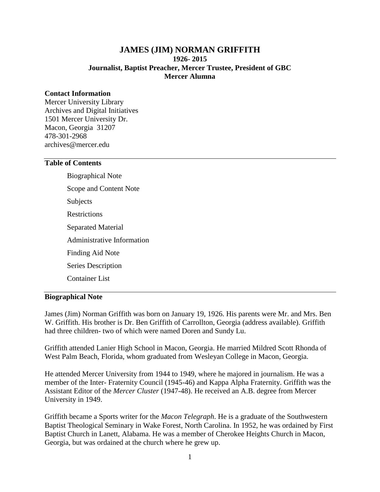## **JAMES (JIM) NORMAN GRIFFITH 1926- 2015 Journalist, Baptist Preacher, Mercer Trustee, President of GBC Mercer Alumna**

### **Contact Information**

Mercer University Library Archives and Digital Initiatives 1501 Mercer University Dr. Macon, Georgia 31207 478-301-2968 archives@mercer.edu

### **Table of Contents**

Biographical Note Scope and Content Note Subjects **Restrictions** Separated Material Administrative Information Finding Aid Note Series Description Container List

### **Biographical Note**

James (Jim) Norman Griffith was born on January 19, 1926. His parents were Mr. and Mrs. Ben W. Griffith. His brother is Dr. Ben Griffith of Carrollton, Georgia (address available). Griffith had three children- two of which were named Doren and Sundy Lu.

Griffith attended Lanier High School in Macon, Georgia. He married Mildred Scott Rhonda of West Palm Beach, Florida, whom graduated from Wesleyan College in Macon, Georgia.

He attended Mercer University from 1944 to 1949, where he majored in journalism. He was a member of the Inter- Fraternity Council (1945-46) and Kappa Alpha Fraternity. Griffith was the Assistant Editor of the *Mercer Cluster* (1947-48). He received an A.B. degree from Mercer University in 1949.

Griffith became a Sports writer for the *Macon Telegraph*. He is a graduate of the Southwestern Baptist Theological Seminary in Wake Forest, North Carolina. In 1952, he was ordained by First Baptist Church in Lanett, Alabama. He was a member of Cherokee Heights Church in Macon, Georgia, but was ordained at the church where he grew up.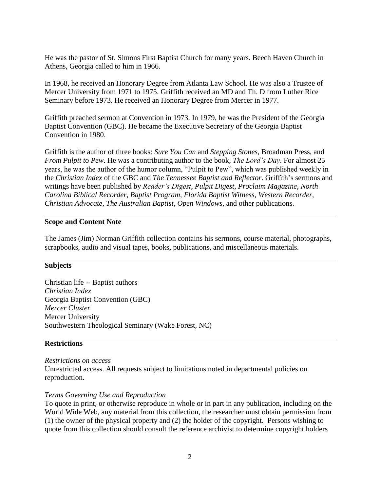He was the pastor of St. Simons First Baptist Church for many years. Beech Haven Church in Athens, Georgia called to him in 1966.

In 1968, he received an Honorary Degree from Atlanta Law School. He was also a Trustee of Mercer University from 1971 to 1975. Griffith received an MD and Th. D from Luther Rice Seminary before 1973. He received an Honorary Degree from Mercer in 1977.

Griffith preached sermon at Convention in 1973. In 1979, he was the President of the Georgia Baptist Convention (GBC). He became the Executive Secretary of the Georgia Baptist Convention in 1980.

Griffith is the author of three books: *Sure You Can* and *Stepping Stones*, Broadman Press, and *From Pulpit to Pew*. He was a contributing author to the book, *The Lord's Day*. For almost 25 years, he was the author of the humor column, "Pulpit to Pew", which was published weekly in the *Christian Index* of the GBC and *The Tennessee Baptist and Reflector*. Griffith's sermons and writings have been published by *Reader's Digest*, *Pulpit Digest*, *Proclaim Magazine, North Carolina Biblical Recorder, Baptist Program, Florida Baptist Witness, Western Recorder, Christian Advocate, The Australian Baptist, Open Windows*, and other publications.

### **Scope and Content Note**

The James (Jim) Norman Griffith collection contains his sermons, course material, photographs, scrapbooks, audio and visual tapes, books, publications, and miscellaneous materials.

### **Subjects**

Christian life -- Baptist authors *Christian Index* Georgia Baptist Convention (GBC) *Mercer Cluster*  Mercer University Southwestern Theological Seminary (Wake Forest, NC)

### **Restrictions**

*Restrictions on access* Unrestricted access. All requests subject to limitations noted in departmental policies on reproduction.

### *Terms Governing Use and Reproduction*

To quote in print, or otherwise reproduce in whole or in part in any publication, including on the World Wide Web, any material from this collection, the researcher must obtain permission from (1) the owner of the physical property and (2) the holder of the copyright. Persons wishing to quote from this collection should consult the reference archivist to determine copyright holders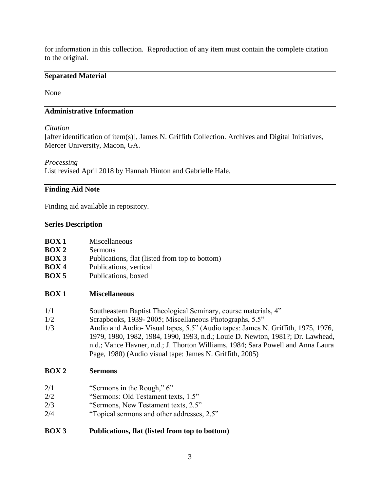for information in this collection. Reproduction of any item must contain the complete citation to the original.

# **Separated Material**

None

## **Administrative Information**

### *Citation*

[after identification of item(s)], James N. Griffith Collection. Archives and Digital Initiatives, Mercer University, Macon, GA.

#### *Processing*

List revised April 2018 by Hannah Hinton and Gabrielle Hale.

# **Finding Aid Note**

Finding aid available in repository.

# **Series Description**

| <b>BOX1</b><br>$\overline{BOX}$ 2<br><b>BOX 3</b><br>BOX <sub>4</sub><br>BOX 5 | Miscellaneous<br><b>Sermons</b><br>Publications, flat (listed from top to bottom)<br>Publications, vertical<br>Publications, boxed                                                                                                                                                                               |
|--------------------------------------------------------------------------------|------------------------------------------------------------------------------------------------------------------------------------------------------------------------------------------------------------------------------------------------------------------------------------------------------------------|
| <b>BOX1</b>                                                                    | <b>Miscellaneous</b>                                                                                                                                                                                                                                                                                             |
| 1/1                                                                            | Southeastern Baptist Theological Seminary, course materials, 4"                                                                                                                                                                                                                                                  |
| 1/2                                                                            | Scrapbooks, 1939-2005; Miscellaneous Photographs, 5.5"                                                                                                                                                                                                                                                           |
| 1/3                                                                            | Audio and Audio-Visual tapes, 5.5" (Audio tapes: James N. Griffith, 1975, 1976,<br>1979, 1980, 1982, 1984, 1990, 1993, n.d.; Louie D. Newton, 1981?; Dr. Lawhead,<br>n.d.; Vance Havner, n.d.; J. Thorton Williams, 1984; Sara Powell and Anna Laura<br>Page, 1980) (Audio visual tape: James N. Griffith, 2005) |
| BOX <sub>2</sub>                                                               | <b>Sermons</b>                                                                                                                                                                                                                                                                                                   |
| 2/1                                                                            | "Sermons in the Rough," 6"                                                                                                                                                                                                                                                                                       |
| 2/2                                                                            | "Sermons: Old Testament texts, 1.5"                                                                                                                                                                                                                                                                              |
| 2/3                                                                            | "Sermons, New Testament texts, 2.5"                                                                                                                                                                                                                                                                              |
| 2/4                                                                            | "Topical sermons and other addresses, 2.5"                                                                                                                                                                                                                                                                       |
| <b>BOX3</b>                                                                    | Publications, flat (listed from top to bottom)                                                                                                                                                                                                                                                                   |